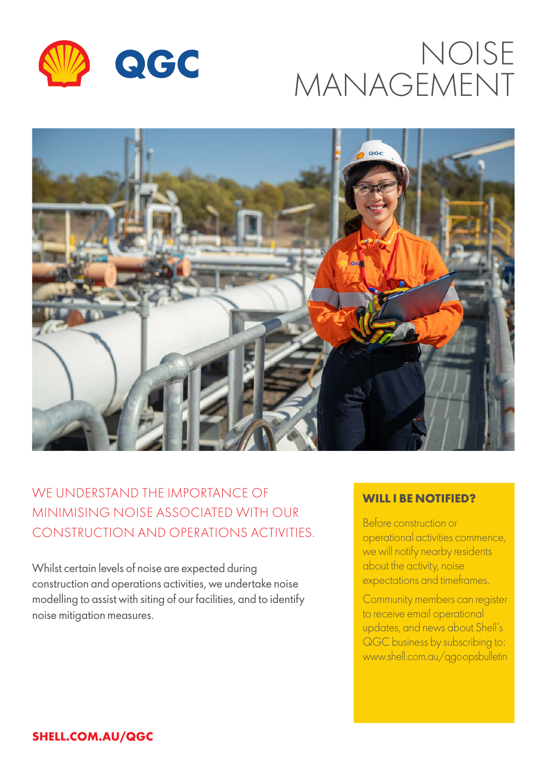

# NOISE MANAGEMENT



## WE UNDERSTAND THE IMPORTANCE OF MINIMISING NOISE ASSOCIATED WITH OUR CONSTRUCTION AND OPERATIONS ACTIVITIES.

Whilst certain levels of noise are expected during construction and operations activities, we undertake noise modelling to assist with siting of our facilities, and to identify noise mitigation measures.

### **WILL I BE NOTIFIED?**

Before construction or operational activities commence, we will notify nearby residents about the activity, noise expectations and timeframes.

Community members can register to receive email operational updates, and news about Shell's QGC business by subscribing to: www.shell.com.au/qgc-opsbulletin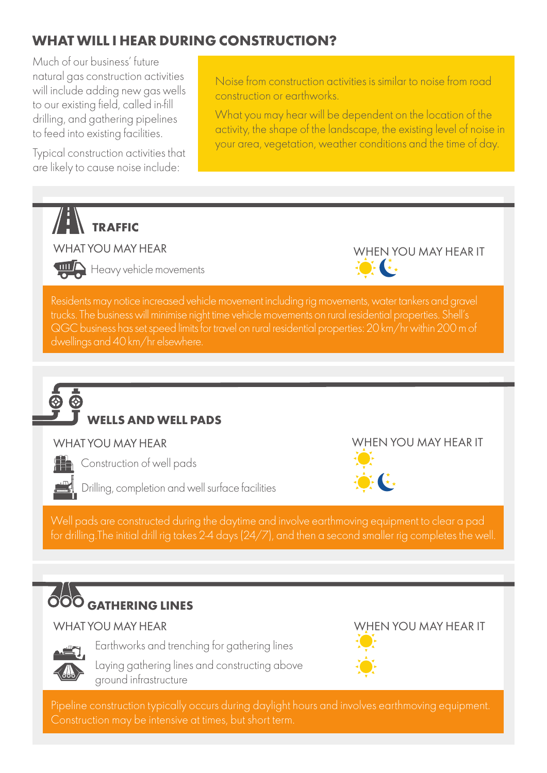## **WHAT WILL I HEAR DURING CONSTRUCTION?**

Much of our business' future natural gas construction activities will include adding new gas wells to our existing field, called in-fill drilling, and gathering pipelines to feed into existing facilities.

Typical construction activities that are likely to cause noise include:

Noise from construction activities is similar to noise from road construction or earthworks.

What you may hear will be dependent on the location of the activity, the shape of the landscape, the existing level of noise in your area, vegetation, weather conditions and the time of day.

 $\cdot$   $\cdot$   $\cdot$ 



### WHAT YOU MAY HEAR



Heavy vehicle movements

Residents may notice increased vehicle movement including rig movements, water tankers and gravel trucks. The business will minimise night time vehicle movements on rural residential properties. Shell's QGC business has set speed limits for travel on rural residential properties: 20 km/hr within 200 m of



## **WELLS AND WELL PADS**

### WHAT YOU MAY HEAR



**TH** Construction of well pads

Drilling, completion and well surface facilities

WHEN YOU MAY HEAR IT

WHEN YOU MAY HEAR IT



## **OOO** GATHERING LINES

### WHAT YOU MAY HEAR



Earthworks and trenching for gathering lines

 Laying gathering lines and constructing above ground infrastructure





Pipeline construction typically occurs during daylight hours and involves earthmoving equipment.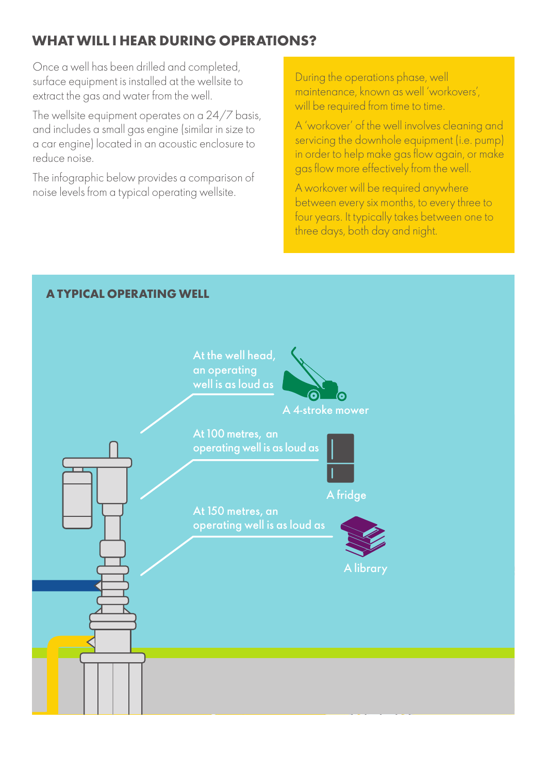## **WHAT WILL I HEAR DURING OPERATIONS?**

Once a well has been drilled and completed, surface equipment is installed at the wellsite to extract the gas and water from the well.

The wellsite equipment operates on a 24/7 basis, and includes a small gas engine (similar in size to a car engine) located in an acoustic enclosure to reduce noise.

The infographic below provides a comparison of noise levels from a typical operating wellsite.

During the operations phase, well maintenance, known as well 'workovers', will be required from time to time.

A 'workover' of the well involves cleaning and servicing the downhole equipment (i.e. pump) in order to help make gas flow again, or make gas flow more effectively from the well.

A workover will be required anywhere between every six months, to every three to four years. It typically takes between one to three days, both day and night.